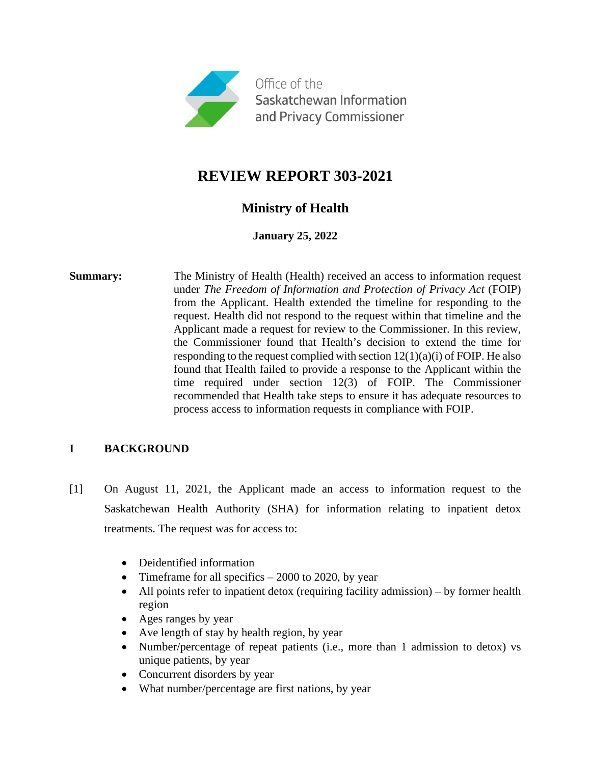

# **REVIEW REPORT 303-2021**

## **Ministry of Health**

**January 25, 2022**

**Summary:** The Ministry of Health (Health) received an access to information request under *The Freedom of Information and Protection of Privacy Act* (FOIP) from the Applicant. Health extended the timeline for responding to the request. Health did not respond to the request within that timeline and the Applicant made a request for review to the Commissioner. In this review, the Commissioner found that Health's decision to extend the time for responding to the request complied with section  $12(1)(a)(i)$  of FOIP. He also found that Health failed to provide a response to the Applicant within the time required under section 12(3) of FOIP. The Commissioner recommended that Health take steps to ensure it has adequate resources to process access to information requests in compliance with FOIP.

### **I BACKGROUND**

- [1] On August 11, 2021, the Applicant made an access to information request to the Saskatchewan Health Authority (SHA) for information relating to inpatient detox treatments. The request was for access to:
	- Deidentified information
	- Timeframe for all specifics  $-2000$  to 2020, by year
	- All points refer to inpatient detox (requiring facility admission) by former health region
	- Ages ranges by year
	- Ave length of stay by health region, by year
	- Number/percentage of repeat patients (i.e., more than 1 admission to detox) vs unique patients, by year
	- Concurrent disorders by year
	- What number/percentage are first nations, by year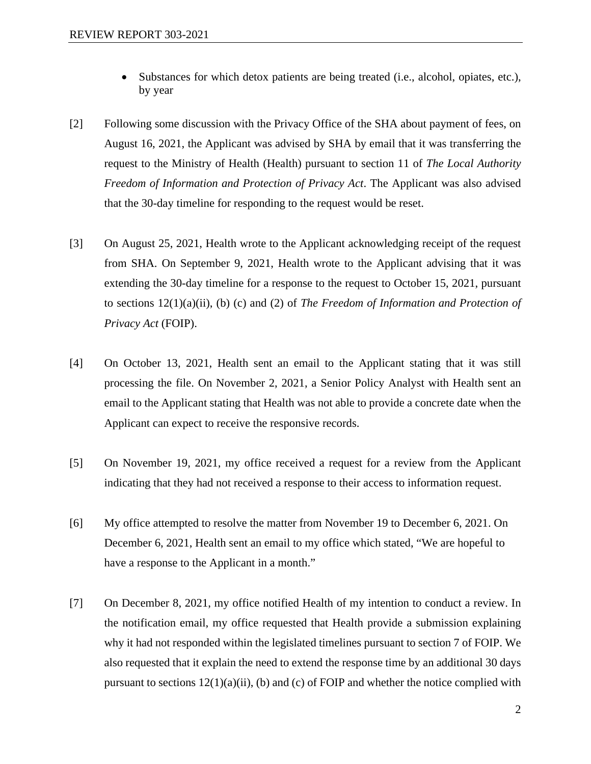- Substances for which detox patients are being treated (i.e., alcohol, opiates, etc.), by year
- [2] Following some discussion with the Privacy Office of the SHA about payment of fees, on August 16, 2021, the Applicant was advised by SHA by email that it was transferring the request to the Ministry of Health (Health) pursuant to section 11 of *The Local Authority Freedom of Information and Protection of Privacy Act*. The Applicant was also advised that the 30-day timeline for responding to the request would be reset.
- [3] On August 25, 2021, Health wrote to the Applicant acknowledging receipt of the request from SHA. On September 9, 2021, Health wrote to the Applicant advising that it was extending the 30-day timeline for a response to the request to October 15, 2021, pursuant to sections 12(1)(a)(ii), (b) (c) and (2) of *The Freedom of Information and Protection of Privacy Act* (FOIP).
- [4] On October 13, 2021, Health sent an email to the Applicant stating that it was still processing the file. On November 2, 2021, a Senior Policy Analyst with Health sent an email to the Applicant stating that Health was not able to provide a concrete date when the Applicant can expect to receive the responsive records.
- [5] On November 19, 2021, my office received a request for a review from the Applicant indicating that they had not received a response to their access to information request.
- [6] My office attempted to resolve the matter from November 19 to December 6, 2021. On December 6, 2021, Health sent an email to my office which stated, "We are hopeful to have a response to the Applicant in a month."
- [7] On December 8, 2021, my office notified Health of my intention to conduct a review. In the notification email, my office requested that Health provide a submission explaining why it had not responded within the legislated timelines pursuant to section 7 of FOIP. We also requested that it explain the need to extend the response time by an additional 30 days pursuant to sections  $12(1)(a)(ii)$ , (b) and (c) of FOIP and whether the notice complied with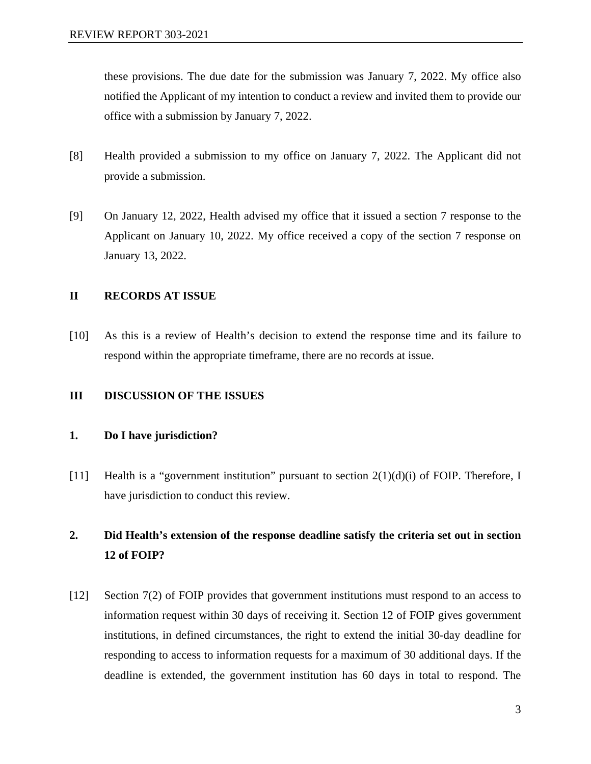these provisions. The due date for the submission was January 7, 2022. My office also notified the Applicant of my intention to conduct a review and invited them to provide our office with a submission by January 7, 2022.

- [8] Health provided a submission to my office on January 7, 2022. The Applicant did not provide a submission.
- [9] On January 12, 2022, Health advised my office that it issued a section 7 response to the Applicant on January 10, 2022. My office received a copy of the section 7 response on January 13, 2022.

#### **II RECORDS AT ISSUE**

[10] As this is a review of Health's decision to extend the response time and its failure to respond within the appropriate timeframe, there are no records at issue.

#### **III DISCUSSION OF THE ISSUES**

#### **1. Do I have jurisdiction?**

[11] Health is a "government institution" pursuant to section 2(1)(d)(i) of FOIP. Therefore, I have jurisdiction to conduct this review.

## **2. Did Health's extension of the response deadline satisfy the criteria set out in section 12 of FOIP?**

[12] Section 7(2) of FOIP provides that government institutions must respond to an access to information request within 30 days of receiving it. Section 12 of FOIP gives government institutions, in defined circumstances, the right to extend the initial 30-day deadline for responding to access to information requests for a maximum of 30 additional days. If the deadline is extended, the government institution has 60 days in total to respond. The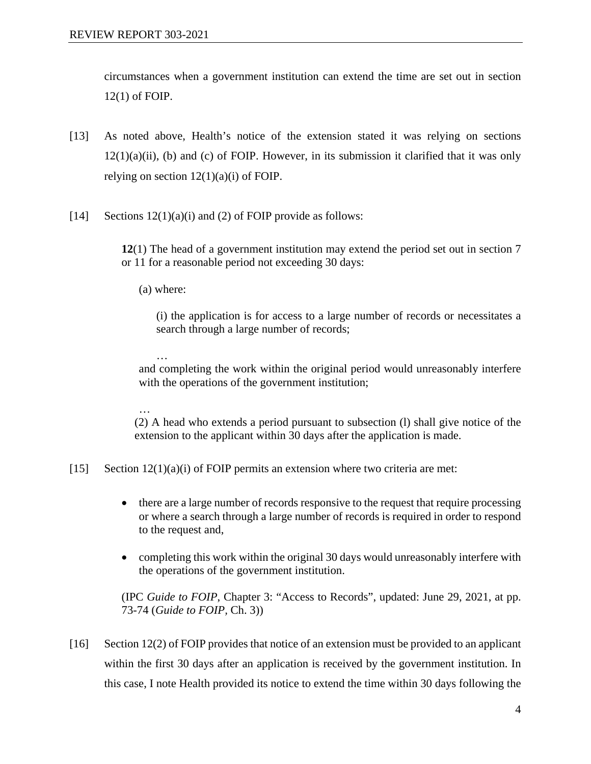circumstances when a government institution can extend the time are set out in section 12(1) of FOIP.

- [13] As noted above, Health's notice of the extension stated it was relying on sections  $12(1)(a)(ii)$ , (b) and (c) of FOIP. However, in its submission it clarified that it was only relying on section  $12(1)(a)(i)$  of FOIP.
- [14] Sections  $12(1)(a)(i)$  and (2) of FOIP provide as follows:

**12**(1) The head of a government institution may extend the period set out in section 7 or 11 for a reasonable period not exceeding 30 days:

(a) where:

…

(i) the application is for access to a large number of records or necessitates a search through a large number of records;

and completing the work within the original period would unreasonably interfere with the operations of the government institution;

… (2) A head who extends a period pursuant to subsection (l) shall give notice of the extension to the applicant within 30 days after the application is made.

[15] Section  $12(1)(a)(i)$  of FOIP permits an extension where two criteria are met:

- there are a large number of records responsive to the request that require processing or where a search through a large number of records is required in order to respond to the request and,
- completing this work within the original 30 days would unreasonably interfere with the operations of the government institution.

(IPC *Guide to FOIP*, Chapter 3: "Access to Records", updated: June 29, 2021, at pp. 73-74 (*Guide to FOIP,* Ch. 3))

[16] Section 12(2) of FOIP provides that notice of an extension must be provided to an applicant within the first 30 days after an application is received by the government institution. In this case, I note Health provided its notice to extend the time within 30 days following the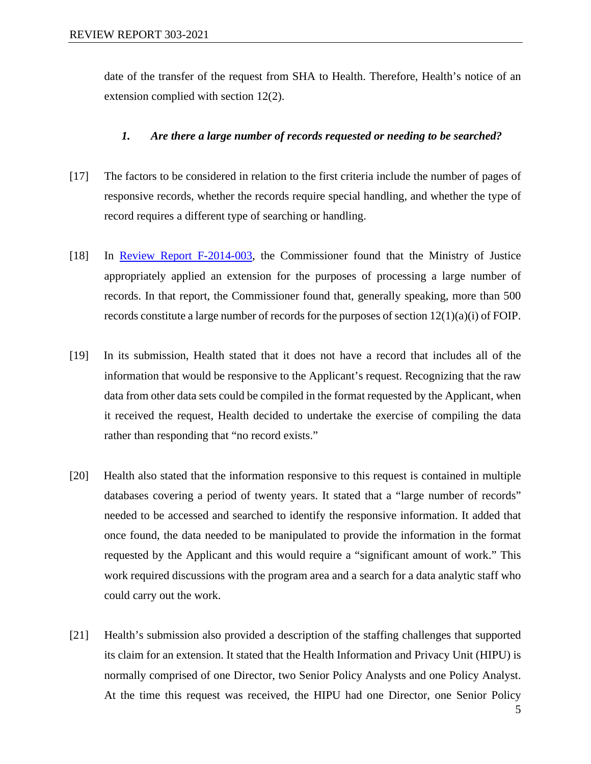date of the transfer of the request from SHA to Health. Therefore, Health's notice of an extension complied with section 12(2).

#### *1. Are there a large number of records requested or needing to be searched?*

- [17] The factors to be considered in relation to the first criteria include the number of pages of responsive records, whether the records require special handling, and whether the type of record requires a different type of searching or handling.
- [18] In [Review Report F-2014-003,](https://oipc.sk.ca/assets/lafoip-review-la-2014-003.pdf) the Commissioner found that the Ministry of Justice appropriately applied an extension for the purposes of processing a large number of records. In that report, the Commissioner found that, generally speaking, more than 500 records constitute a large number of records for the purposes of section 12(1)(a)(i) of FOIP.
- [19] In its submission, Health stated that it does not have a record that includes all of the information that would be responsive to the Applicant's request. Recognizing that the raw data from other data sets could be compiled in the format requested by the Applicant, when it received the request, Health decided to undertake the exercise of compiling the data rather than responding that "no record exists."
- [20] Health also stated that the information responsive to this request is contained in multiple databases covering a period of twenty years. It stated that a "large number of records" needed to be accessed and searched to identify the responsive information. It added that once found, the data needed to be manipulated to provide the information in the format requested by the Applicant and this would require a "significant amount of work." This work required discussions with the program area and a search for a data analytic staff who could carry out the work.
- [21] Health's submission also provided a description of the staffing challenges that supported its claim for an extension. It stated that the Health Information and Privacy Unit (HIPU) is normally comprised of one Director, two Senior Policy Analysts and one Policy Analyst. At the time this request was received, the HIPU had one Director, one Senior Policy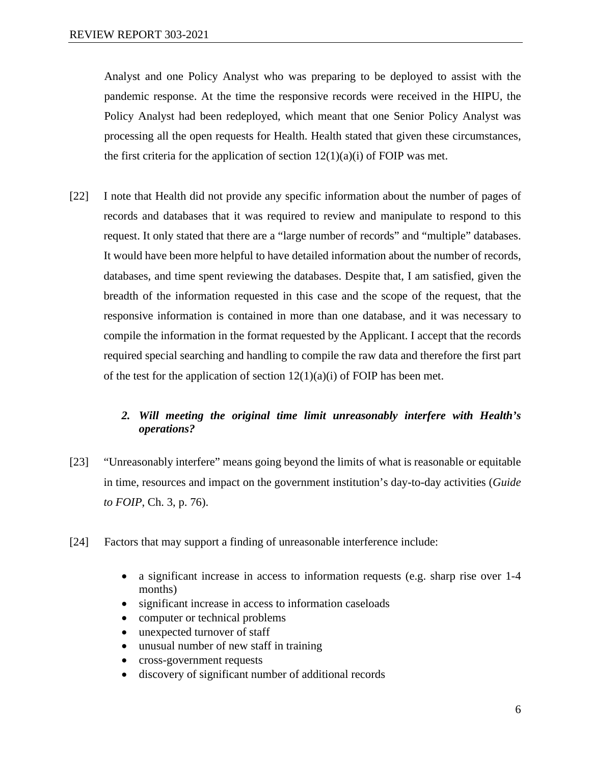Analyst and one Policy Analyst who was preparing to be deployed to assist with the pandemic response. At the time the responsive records were received in the HIPU, the Policy Analyst had been redeployed, which meant that one Senior Policy Analyst was processing all the open requests for Health. Health stated that given these circumstances, the first criteria for the application of section  $12(1)(a)(i)$  of FOIP was met.

[22] I note that Health did not provide any specific information about the number of pages of records and databases that it was required to review and manipulate to respond to this request. It only stated that there are a "large number of records" and "multiple" databases. It would have been more helpful to have detailed information about the number of records, databases, and time spent reviewing the databases. Despite that, I am satisfied, given the breadth of the information requested in this case and the scope of the request, that the responsive information is contained in more than one database, and it was necessary to compile the information in the format requested by the Applicant. I accept that the records required special searching and handling to compile the raw data and therefore the first part of the test for the application of section  $12(1)(a)(i)$  of FOIP has been met.

### *2. Will meeting the original time limit unreasonably interfere with Health's operations?*

- [23] "Unreasonably interfere" means going beyond the limits of what is reasonable or equitable in time, resources and impact on the government institution's day-to-day activities (*Guide to FOIP*, Ch. 3, p. 76).
- [24] Factors that may support a finding of unreasonable interference include:
	- a significant increase in access to information requests (e.g. sharp rise over 1-4 months)
	- significant increase in access to information caseloads
	- computer or technical problems
	- unexpected turnover of staff
	- unusual number of new staff in training
	- cross-government requests
	- discovery of significant number of additional records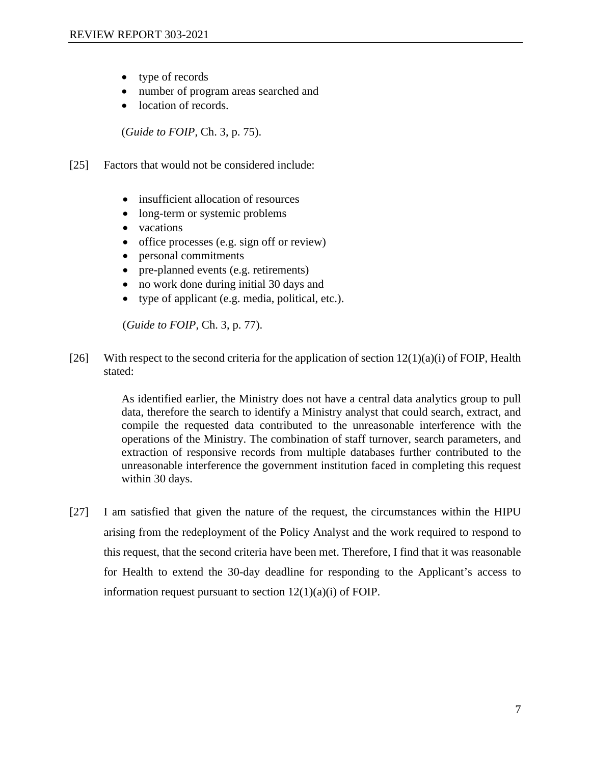- type of records
- number of program areas searched and
- location of records.

(*Guide to FOIP*, Ch. 3, p. 75).

- [25] Factors that would not be considered include:
	- insufficient allocation of resources
	- long-term or systemic problems
	- vacations
	- office processes (e.g. sign off or review)
	- personal commitments
	- pre-planned events (e.g. retirements)
	- no work done during initial 30 days and
	- type of applicant (e.g. media, political, etc.).

(*Guide to FOIP*, Ch. 3, p. 77).

[26] With respect to the second criteria for the application of section  $12(1)(a)(i)$  of FOIP, Health stated:

> As identified earlier, the Ministry does not have a central data analytics group to pull data, therefore the search to identify a Ministry analyst that could search, extract, and compile the requested data contributed to the unreasonable interference with the operations of the Ministry. The combination of staff turnover, search parameters, and extraction of responsive records from multiple databases further contributed to the unreasonable interference the government institution faced in completing this request within 30 days.

[27] I am satisfied that given the nature of the request, the circumstances within the HIPU arising from the redeployment of the Policy Analyst and the work required to respond to this request, that the second criteria have been met. Therefore, I find that it was reasonable for Health to extend the 30-day deadline for responding to the Applicant's access to information request pursuant to section  $12(1)(a)(i)$  of FOIP.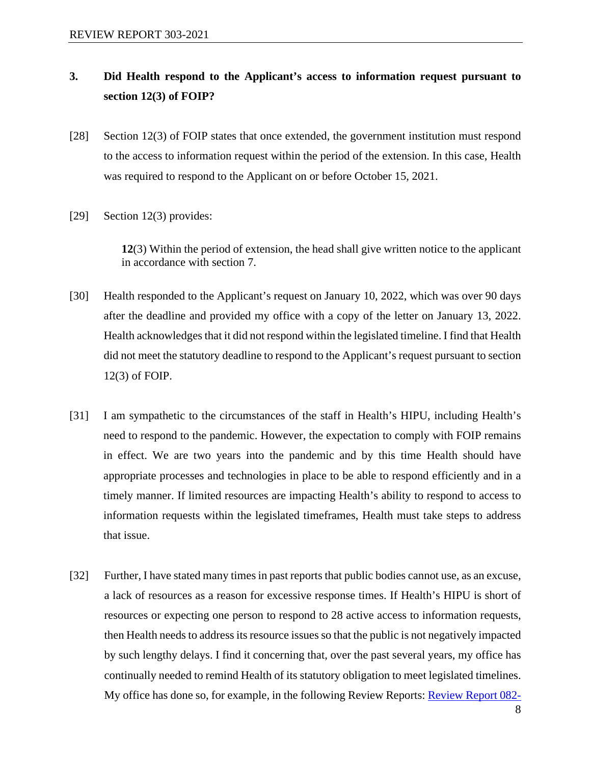## **3. Did Health respond to the Applicant's access to information request pursuant to section 12(3) of FOIP?**

- [28] Section 12(3) of FOIP states that once extended, the government institution must respond to the access to information request within the period of the extension. In this case, Health was required to respond to the Applicant on or before October 15, 2021.
- [29] Section 12(3) provides:

**12**(3) Within the period of extension, the head shall give written notice to the applicant in accordance with section 7.

- [30] Health responded to the Applicant's request on January 10, 2022, which was over 90 days after the deadline and provided my office with a copy of the letter on January 13, 2022. Health acknowledges that it did not respond within the legislated timeline. I find that Health did not meet the statutory deadline to respond to the Applicant's request pursuant to section 12(3) of FOIP.
- [31] I am sympathetic to the circumstances of the staff in Health's HIPU, including Health's need to respond to the pandemic. However, the expectation to comply with FOIP remains in effect. We are two years into the pandemic and by this time Health should have appropriate processes and technologies in place to be able to respond efficiently and in a timely manner. If limited resources are impacting Health's ability to respond to access to information requests within the legislated timeframes, Health must take steps to address that issue.
- [32] Further, I have stated many times in past reports that public bodies cannot use, as an excuse, a lack of resources as a reason for excessive response times. If Health's HIPU is short of resources or expecting one person to respond to 28 active access to information requests, then Health needs to address its resource issues so that the public is not negatively impacted by such lengthy delays. I find it concerning that, over the past several years, my office has continually needed to remind Health of its statutory obligation to meet legislated timelines. My office has done so, for example, in the following Review Reports: [Review Report 082-](https://canlii.ca/t/j9940)